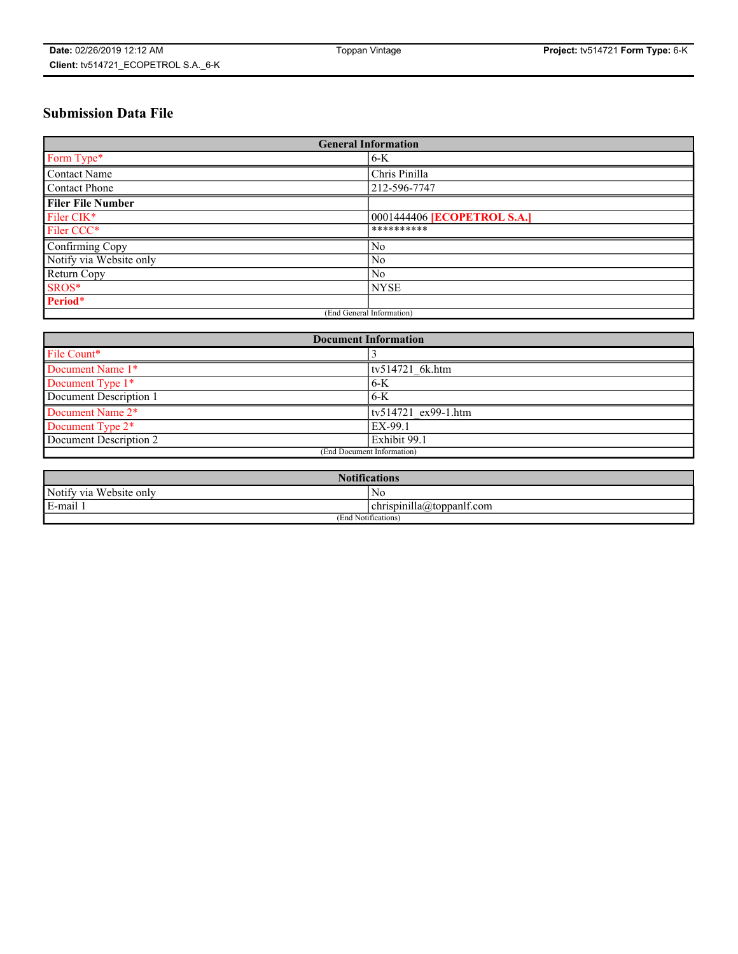# **Submission Data File**

| <b>General Information</b> |                             |
|----------------------------|-----------------------------|
| Form Type*                 | $6-K$                       |
| Contact Name               | Chris Pinilla               |
| <b>Contact Phone</b>       | 212-596-7747                |
| <b>Filer File Number</b>   |                             |
| Filer CIK*                 | 0001444406 [ECOPETROL S.A.] |
| Filer CCC*                 | **********                  |
| Confirming Copy            | N <sub>0</sub>              |
| Notify via Website only    | No                          |
| Return Copy                | No                          |
| SROS*                      | <b>NYSE</b>                 |
| Period*                    |                             |
| (End General Information)  |                             |

| <b>Document Information</b> |                     |
|-----------------------------|---------------------|
| File Count*                 |                     |
| Document Name 1*            | tv514721 6k.htm     |
| Document Type 1*            | $6-K$               |
| Document Description 1      | $6-K$               |
| Document Name 2*            | tv514721 ex99-1.htm |
| Document Type 2*            | EX-99.1             |
| Document Description 2      | Exhibit 99.1        |
| (End Document Information)  |                     |

| <b>Notifications</b>    |                           |  |
|-------------------------|---------------------------|--|
| Notify via Website only | N0                        |  |
| E-mail 1                | chrispinilla@toppanlf.com |  |
| (End Notifications)     |                           |  |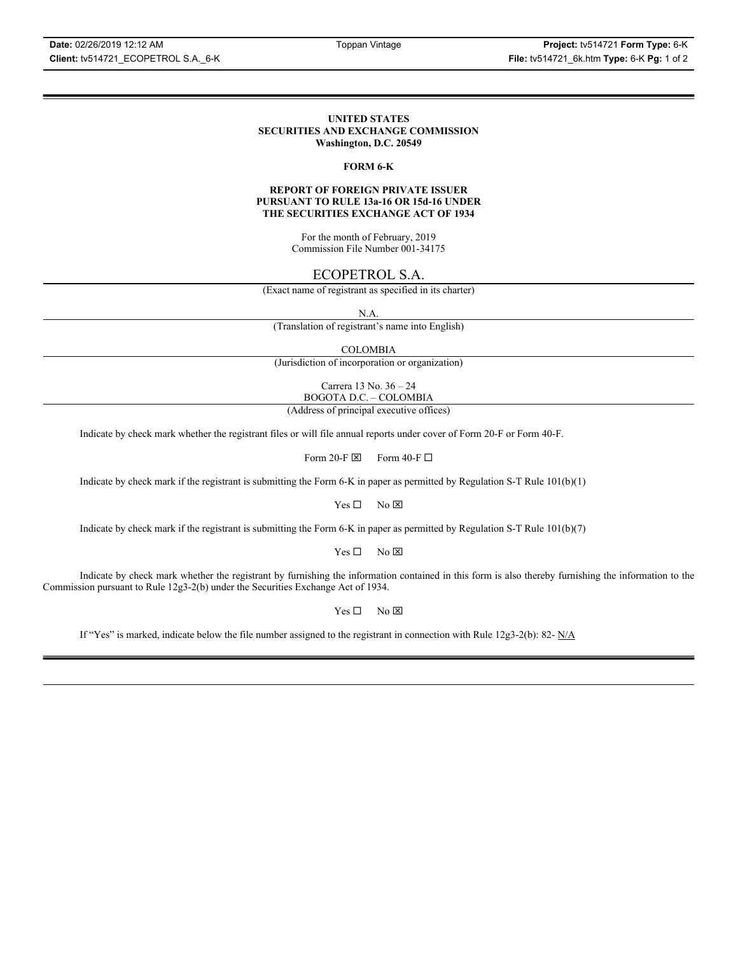### **UNITED STATES SECURITIES AND EXCHANGE COMMISSION Washington, D.C. 20549**

### **FORM 6-K**

### **REPORT OF FOREIGN PRIVATE ISSUER PURSUANT TO RULE 13a-16 OR 15d-16 UNDER THE SECURITIES EXCHANGE ACT OF 1934**

For the month of February, 2019 Commission File Number 001-34175

### ECOPETROL S.A.

(Exact name of registrant as specified in its charter)

N.A.

(Translation of registrant's name into English)

COLOMBIA

(Jurisdiction of incorporation or organization)

Carrera 13 No. 36 – 24 BOGOTA D.C. – COLOMBIA

(Address of principal executive offices)

Indicate by check mark whether the registrant files or will file annual reports under cover of Form 20-F or Form 40-F.

Form 20-F  $\boxtimes$  Form 40-F  $\Box$ 

Indicate by check mark if the registrant is submitting the Form 6-K in paper as permitted by Regulation S-T Rule 101(b)(1)

 $Yes \Box$  No  $\boxtimes$ 

Indicate by check mark if the registrant is submitting the Form 6-K in paper as permitted by Regulation S-T Rule 101(b)(7)

 $Yes \Box$  No  $\boxtimes$ 

Indicate by check mark whether the registrant by furnishing the information contained in this form is also thereby furnishing the information to the Commission pursuant to Rule 12g3-2(b) under the Securities Exchange Act of 1934.

 $Yes \Box$  No  $\boxtimes$ 

If "Yes" is marked, indicate below the file number assigned to the registrant in connection with Rule 12g3-2(b): 82-  $N/A$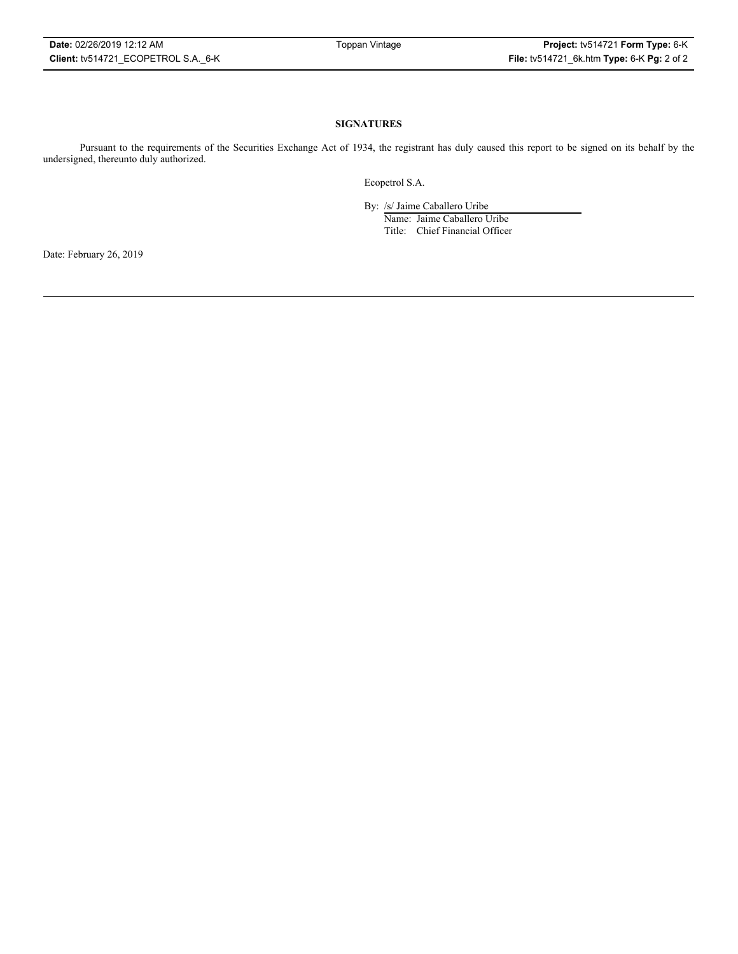### **SIGNATURES**

Pursuant to the requirements of the Securities Exchange Act of 1934, the registrant has duly caused this report to be signed on its behalf by the undersigned, thereunto duly authorized.

Ecopetrol S.A.

By: /s/ Jaime Caballero Uribe

Name: Jaime Caballero Uribe Title: Chief Financial Officer

Date: February 26, 2019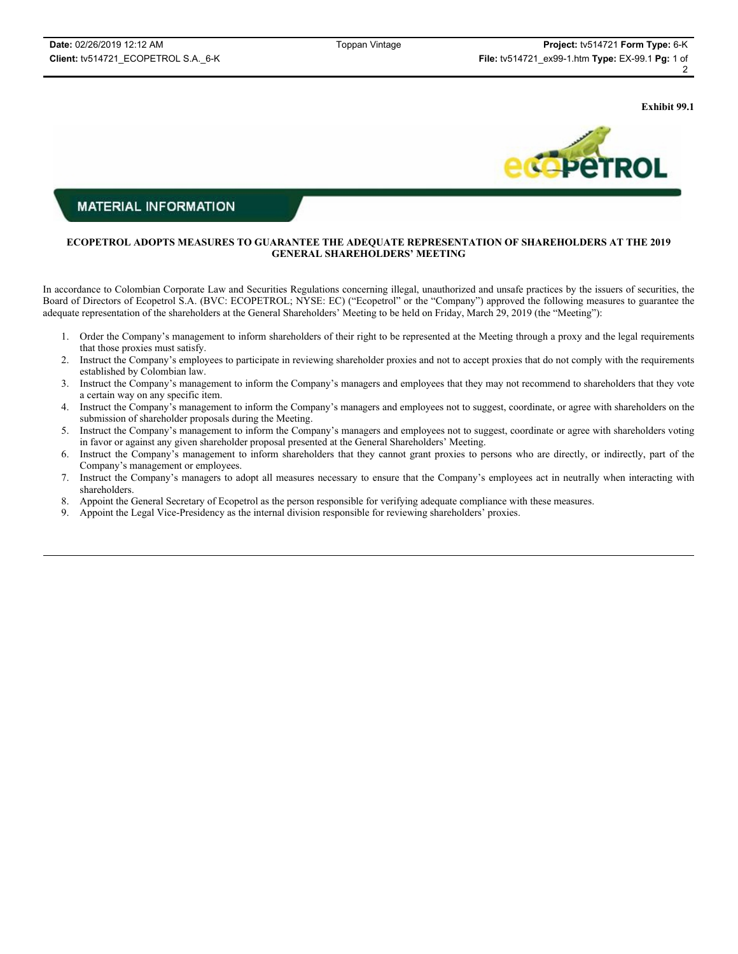**Exhibit 99.1**



### **MATERIAL INFORMATION**

### **ECOPETROL ADOPTS MEASURES TO GUARANTEE THE ADEQUATE REPRESENTATION OF SHAREHOLDERS AT THE 2019 GENERAL SHAREHOLDERS' MEETING**

In accordance to Colombian Corporate Law and Securities Regulations concerning illegal, unauthorized and unsafe practices by the issuers of securities, the Board of Directors of Ecopetrol S.A. (BVC: ECOPETROL; NYSE: EC) ("Ecopetrol" or the "Company") approved the following measures to guarantee the adequate representation of the shareholders at the General Shareholders' Meeting to be held on Friday, March 29, 2019 (the "Meeting"):

- 1. Order the Company's management to inform shareholders of their right to be represented at the Meeting through a proxy and the legal requirements that those proxies must satisfy.
- 2. Instruct the Company's employees to participate in reviewing shareholder proxies and not to accept proxies that do not comply with the requirements established by Colombian law.
- 3. Instruct the Company's management to inform the Company's managers and employees that they may not recommend to shareholders that they vote a certain way on any specific item.
- 4. Instruct the Company's management to inform the Company's managers and employees not to suggest, coordinate, or agree with shareholders on the submission of shareholder proposals during the Meeting.
- 5. Instruct the Company's management to inform the Company's managers and employees not to suggest, coordinate or agree with shareholders voting in favor or against any given shareholder proposal presented at the General Shareholders' Meeting.
- 6. Instruct the Company's management to inform shareholders that they cannot grant proxies to persons who are directly, or indirectly, part of the Company's management or employees.
- 7. Instruct the Company's managers to adopt all measures necessary to ensure that the Company's employees act in neutrally when interacting with shareholders.
- 8. Appoint the General Secretary of Ecopetrol as the person responsible for verifying adequate compliance with these measures.
- 9. Appoint the Legal Vice-Presidency as the internal division responsible for reviewing shareholders' proxies.